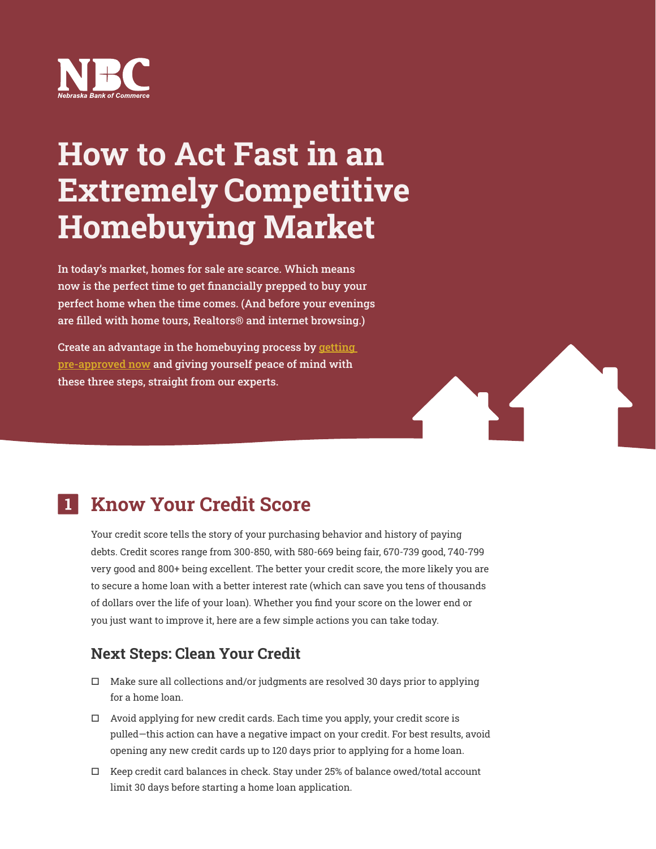

# How to Act Fast in an Extremely Competitive Homebuying Market

In today's market, homes for sale are scarce. Which means now is the perfect time to get financially prepped to buy your perfect home when the time comes. (And before your evenings are filled with home tours, Realtors® and internet browsing.)

Create an advantage in the homebuying process by getting [pre-approved now](https://nbcbankmortgage.mymortgage-online.com/TeamDirectory.html?loanapp&siteId=4728398752&workFlowId=75605) and giving yourself peace of mind with these three steps, straight from our experts.



Your credit score tells the story of your purchasing behavior and history of paying debts. Credit scores range from 300-850, with 580-669 being fair, 670-739 good, 740-799 very good and 800+ being excellent. The better your credit score, the more likely you are to secure a home loan with a better interest rate (which can save you tens of thousands of dollars over the life of your loan). Whether you find your score on the lower end or you just want to improve it, here are a few simple actions you can take today.

## Next Steps: Clean Your Credit

- $\Box$  Make sure all collections and/or judgments are resolved 30 days prior to applying for a home loan.
- $\Box$  Avoid applying for new credit cards. Each time you apply, your credit score is pulled—this action can have a negative impact on your credit. For best results, avoid opening any new credit cards up to 120 days prior to applying for a home loan.
- $\Box$  Keep credit card balances in check. Stay under 25% of balance owed/total account limit 30 days before starting a home loan application.